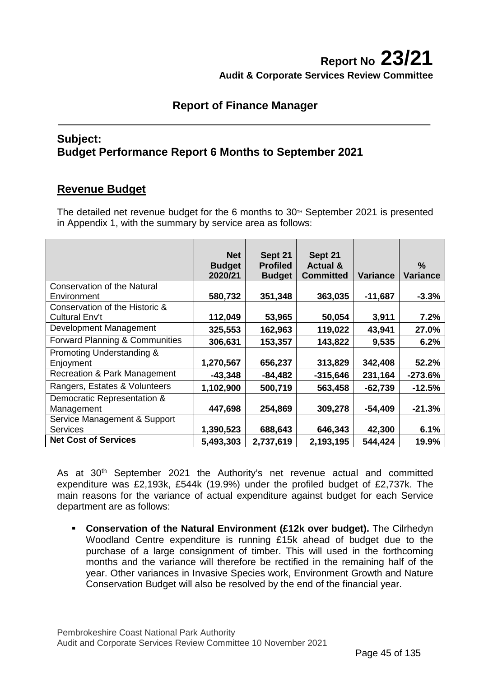## **Report No 23/21 Audit & Corporate Services Review Committee**

## **Report of Finance Manager**

### **Subject: Budget Performance Report 6 Months to September 2021**

## **Revenue Budget**

The detailed net revenue budget for the 6 months to  $30<sup>TH</sup>$  September 2021 is presented in Appendix 1, with the summary by service area as follows:

|                                                   | <b>Net</b><br><b>Budget</b><br>2020/21 | Sept 21<br><b>Profiled</b><br><b>Budget</b> | Sept 21<br><b>Actual &amp;</b><br><b>Committed</b> | <b>Variance</b> | %<br><b>Variance</b> |
|---------------------------------------------------|----------------------------------------|---------------------------------------------|----------------------------------------------------|-----------------|----------------------|
| <b>Conservation of the Natural</b><br>Environment | 580,732                                | 351,348                                     | 363,035                                            | $-11,687$       | $-3.3%$              |
| Conservation of the Historic &                    |                                        |                                             |                                                    |                 |                      |
| Cultural Env't<br>Development Management          | 112,049<br>325,553                     | 53,965<br>162,963                           | 50,054<br>119,022                                  | 3,911<br>43,941 | 7.2%<br>27.0%        |
| Forward Planning & Communities                    | 306,631                                | 153,357                                     | 143,822                                            | 9,535           | 6.2%                 |
| Promoting Understanding &<br>Enjoyment            | 1,270,567                              | 656,237                                     | 313,829                                            | 342,408         | 52.2%                |
| Recreation & Park Management                      | $-43,348$                              | $-84,482$                                   | $-315,646$                                         | 231,164         | $-273.6%$            |
| Rangers, Estates & Volunteers                     | 1,102,900                              | 500,719                                     | 563,458                                            | $-62,739$       | $-12.5%$             |
| Democratic Representation &<br>Management         | 447,698                                | 254,869                                     | 309,278                                            | $-54,409$       | $-21.3%$             |
| Service Management & Support<br><b>Services</b>   | 1,390,523                              | 688,643                                     | 646,343                                            | 42,300          | 6.1%                 |
| <b>Net Cost of Services</b>                       | 5,493,303                              | 2,737,619                                   | 2,193,195                                          | 544,424         | 19.9%                |

As at 30<sup>th</sup> September 2021 the Authority's net revenue actual and committed expenditure was £2,193k, £544k (19.9%) under the profiled budget of £2,737k. The main reasons for the variance of actual expenditure against budget for each Service department are as follows:

 **Conservation of the Natural Environment (£12k over budget).** The Cilrhedyn Woodland Centre expenditure is running £15k ahead of budget due to the purchase of a large consignment of timber. This will used in the forthcoming months and the variance will therefore be rectified in the remaining half of the year. Other variances in Invasive Species work, Environment Growth and Nature Conservation Budget will also be resolved by the end of the financial year.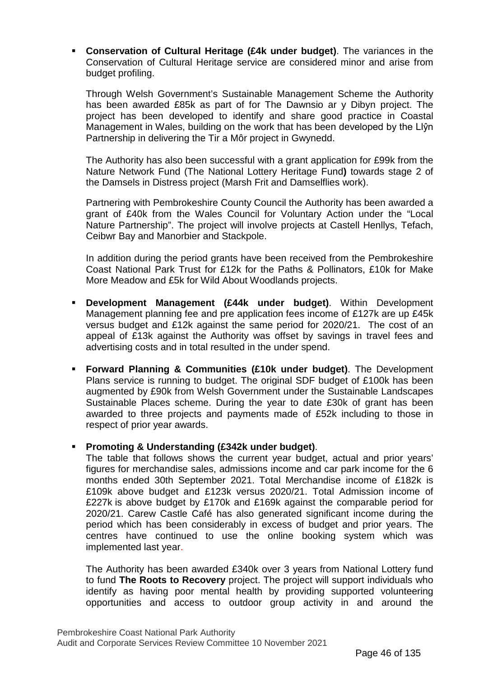**Conservation of Cultural Heritage (£4k under budget)**. The variances in the Conservation of Cultural Heritage service are considered minor and arise from budget profiling.

Through Welsh Government's Sustainable Management Scheme the Authority has been awarded £85k as part of for The Dawnsio ar y Dibyn project. The project has been developed to identify and share good practice in Coastal Management in Wales, building on the work that has been developed by the Llŷn Partnership in delivering the Tir a Môr project in Gwynedd.

The Authority has also been successful with a grant application for £99k from the Nature Network Fund (The National Lottery Heritage Fund**)** towards stage 2 of the Damsels in Distress project (Marsh Frit and Damselflies work).

Partnering with Pembrokeshire County Council the Authority has been awarded a grant of £40k from the Wales Council for Voluntary Action under the "Local Nature Partnership". The project will involve projects at Castell Henllys, Tefach, Ceibwr Bay and Manorbier and Stackpole.

In addition during the period grants have been received from the Pembrokeshire Coast National Park Trust for £12k for the Paths & Pollinators, £10k for Make More Meadow and £5k for Wild About Woodlands projects.

- **Development Management (£44k under budget)**. Within Development Management planning fee and pre application fees income of £127k are up £45k versus budget and £12k against the same period for 2020/21. The cost of an appeal of £13k against the Authority was offset by savings in travel fees and advertising costs and in total resulted in the under spend.
- **Forward Planning & Communities (£10k under budget)**. The Development Plans service is running to budget. The original SDF budget of £100k has been augmented by £90k from Welsh Government under the Sustainable Landscapes Sustainable Places scheme. During the year to date £30k of grant has been awarded to three projects and payments made of £52k including to those in respect of prior year awards.

### **Promoting & Understanding (£342k under budget)**.

The table that follows shows the current year budget, actual and prior years' figures for merchandise sales, admissions income and car park income for the 6 months ended 30th September 2021. Total Merchandise income of £182k is £109k above budget and £123k versus 2020/21. Total Admission income of £227k is above budget by £170k and £169k against the comparable period for 2020/21. Carew Castle Café has also generated significant income during the period which has been considerably in excess of budget and prior years. The centres have continued to use the online booking system which was implemented last year.

The Authority has been awarded £340k over 3 years from National Lottery fund to fund **The Roots to Recovery** project. The project will support individuals who identify as having poor mental health by providing supported volunteering opportunities and access to outdoor group activity in and around the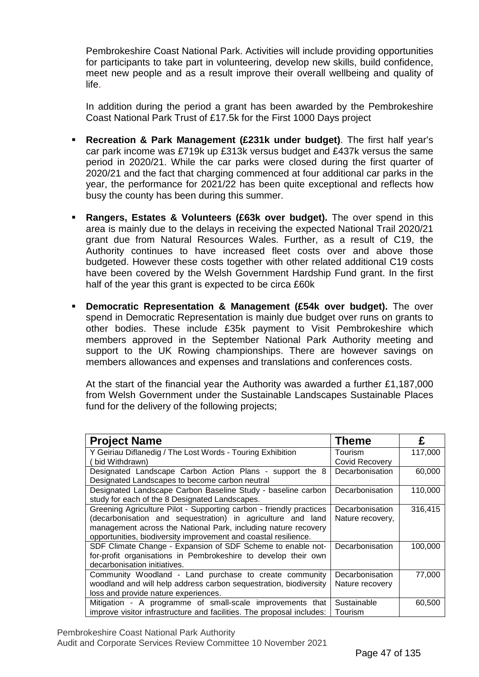Pembrokeshire Coast National Park. Activities will include providing opportunities for participants to take part in volunteering, develop new skills, build confidence, meet new people and as a result improve their overall wellbeing and quality of life.

In addition during the period a grant has been awarded by the Pembrokeshire Coast National Park Trust of £17.5k for the First 1000 Days project

- **Recreation & Park Management (£231k under budget)**. The first half year's car park income was £719k up £313k versus budget and £437k versus the same period in 2020/21. While the car parks were closed during the first quarter of 2020/21 and the fact that charging commenced at four additional car parks in the year, the performance for 2021/22 has been quite exceptional and reflects how busy the county has been during this summer.
- **Rangers, Estates & Volunteers (£63k over budget).** The over spend in this area is mainly due to the delays in receiving the expected National Trail 2020/21 grant due from Natural Resources Wales. Further, as a result of C19, the Authority continues to have increased fleet costs over and above those budgeted. However these costs together with other related additional C19 costs have been covered by the Welsh Government Hardship Fund grant. In the first half of the year this grant is expected to be circa £60k
- **Democratic Representation & Management (£54k over budget).** The over spend in Democratic Representation is mainly due budget over runs on grants to other bodies. These include £35k payment to Visit Pembrokeshire which members approved in the September National Park Authority meeting and support to the UK Rowing championships. There are however savings on members allowances and expenses and translations and conferences costs.

At the start of the financial year the Authority was awarded a further £1,187,000 from Welsh Government under the Sustainable Landscapes Sustainable Places fund for the delivery of the following projects;

| <b>Project Name</b>                                                   | <b>Theme</b>     | £       |
|-----------------------------------------------------------------------|------------------|---------|
| Y Geiriau Diflanedig / The Lost Words - Touring Exhibition            | Tourism          | 117,000 |
| bid Withdrawn)                                                        | Covid Recovery   |         |
| Designated Landscape Carbon Action Plans - support the 8              | Decarbonisation  | 60,000  |
| Designated Landscapes to become carbon neutral                        |                  |         |
| Designated Landscape Carbon Baseline Study - baseline carbon          | Decarbonisation  | 110,000 |
| study for each of the 8 Designated Landscapes.                        |                  |         |
| Greening Agriculture Pilot - Supporting carbon - friendly practices   | Decarbonisation  | 316,415 |
| (decarbonisation and sequestration) in agriculture and land           | Nature recovery, |         |
| management across the National Park, including nature recovery        |                  |         |
| opportunities, biodiversity improvement and coastal resilience.       |                  |         |
| SDF Climate Change - Expansion of SDF Scheme to enable not-           | Decarbonisation  | 100,000 |
| for-profit organisations in Pembrokeshire to develop their own        |                  |         |
| decarbonisation initiatives.                                          |                  |         |
| Community Woodland - Land purchase to create community                | Decarbonisation  | 77,000  |
| woodland and will help address carbon sequestration, biodiversity     | Nature recovery  |         |
| loss and provide nature experiences.                                  |                  |         |
| Mitigation - A programme of small-scale improvements that             | Sustainable      | 60,500  |
| improve visitor infrastructure and facilities. The proposal includes: | Tourism          |         |

Pembrokeshire Coast National Park Authority Audit and Corporate Services Review Committee 10 November 2021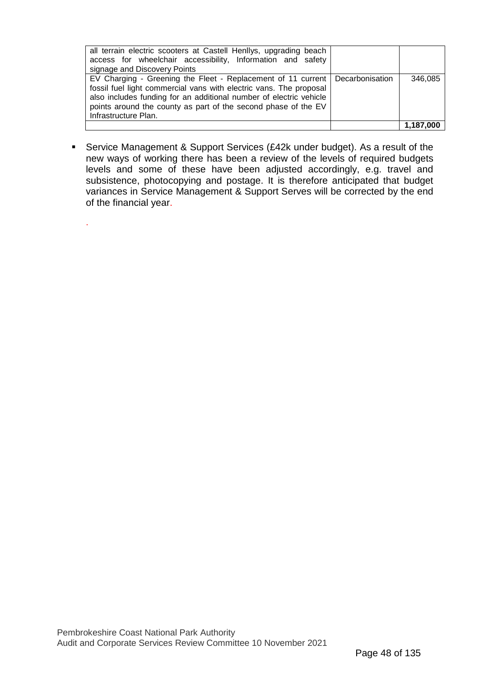| all terrain electric scooters at Castell Henllys, upgrading beach<br>access for wheelchair accessibility, Information and safety<br>signage and Discovery Points                                                                                                                                                     |           |
|----------------------------------------------------------------------------------------------------------------------------------------------------------------------------------------------------------------------------------------------------------------------------------------------------------------------|-----------|
| EV Charging - Greening the Fleet - Replacement of 11 current   Decarbonisation<br>fossil fuel light commercial vans with electric vans. The proposal<br>also includes funding for an additional number of electric vehicle<br>points around the county as part of the second phase of the EV<br>Infrastructure Plan. | 346,085   |
|                                                                                                                                                                                                                                                                                                                      | 1,187,000 |

 Service Management & Support Services (£42k under budget). As a result of the new ways of working there has been a review of the levels of required budgets levels and some of these have been adjusted accordingly, e.g. travel and subsistence, photocopying and postage. It is therefore anticipated that budget variances in Service Management & Support Serves will be corrected by the end of the financial year.

.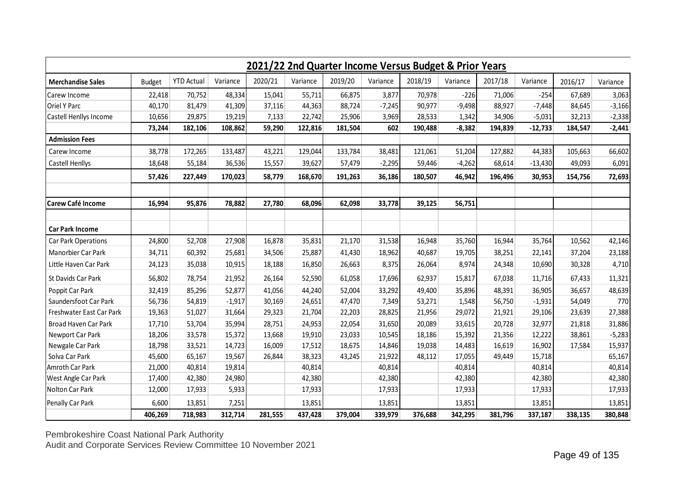|                            | 2021/22 2nd Quarter Income Versus Budget & Prior Years |                   |          |         |          |         |          |         |          |         |           |         |          |
|----------------------------|--------------------------------------------------------|-------------------|----------|---------|----------|---------|----------|---------|----------|---------|-----------|---------|----------|
| <b>Merchandise Sales</b>   | <b>Budget</b>                                          | <b>YTD Actual</b> | Variance | 2020/21 | Variance | 2019/20 | Variance | 2018/19 | Variance | 2017/18 | Variance  | 2016/17 | Variance |
| Carew Income               | 22,418                                                 | 70,752            | 48,334   | 15,041  | 55,711   | 66,875  | 3,877    | 70,978  | $-226$   | 71,006  | $-254$    | 67,689  | 3,063    |
| Oriel Y Parc               | 40,170                                                 | 81,479            | 41,309   | 37,116  | 44,363   | 88,724  | $-7,245$ | 90,977  | $-9,498$ | 88,927  | $-7,448$  | 84,645  | $-3,166$ |
| Castell Henllys Income     | 10,656                                                 | 29,875            | 19,219   | 7,133   | 22,742   | 25,906  | 3,969    | 28,533  | 1,342    | 34,906  | $-5,031$  | 32,213  | $-2,338$ |
|                            | 73,244                                                 | 182,106           | 108,862  | 59,290  | 122,816  | 181,504 | 602      | 190,488 | $-8,382$ | 194,839 | $-12,733$ | 184,547 | $-2,441$ |
| <b>Admission Fees</b>      |                                                        |                   |          |         |          |         |          |         |          |         |           |         |          |
| Carew Income               | 38,778                                                 | 172,265           | 133,487  | 43,221  | 129,044  | 133,784 | 38,481   | 121,061 | 51,204   | 127,882 | 44,383    | 105,663 | 66,602   |
| Castell Henllys            | 18,648                                                 | 55,184            | 36,536   | 15,557  | 39,627   | 57,479  | $-2,295$ | 59,446  | $-4,262$ | 68,614  | $-13,430$ | 49,093  | 6,091    |
|                            | 57,426                                                 | 227,449           | 170,023  | 58,779  | 168,670  | 191,263 | 36,186   | 180,507 | 46,942   | 196,496 | 30,953    | 154,756 | 72,693   |
| Carew Café Income          | 16,994                                                 | 95,876            | 78,882   | 27,780  | 68,096   | 62,098  | 33,778   | 39,125  | 56,751   |         |           |         |          |
| <b>Car Park Income</b>     |                                                        |                   |          |         |          |         |          |         |          |         |           |         |          |
| <b>Car Park Operations</b> | 24,800                                                 | 52,708            | 27,908   | 16,878  | 35,831   | 21,170  | 31,538   | 16,948  | 35,760   | 16,944  | 35,764    | 10,562  | 42,146   |
| Manorbier Car Park         | 34,711                                                 | 60,392            | 25,681   | 34,506  | 25,887   | 41,430  | 18,962   | 40,687  | 19,705   | 38,251  | 22,141    | 37,204  | 23,188   |
| Little Haven Car Park      | 24,123                                                 | 35,038            | 10,915   | 18,188  | 16,850   | 26,663  | 8,375    | 26,064  | 8,974    | 24,348  | 10,690    | 30,328  | 4,710    |
| St Davids Car Park         | 56,802                                                 | 78,754            | 21,952   | 26,164  | 52,590   | 61,058  | 17,696   | 62,937  | 15,817   | 67,038  | 11,716    | 67,433  | 11,321   |
| Poppit Car Park            | 32,419                                                 | 85,296            | 52,877   | 41,056  | 44,240   | 52,004  | 33,292   | 49,400  | 35,896   | 48,391  | 36,905    | 36,657  | 48,639   |
| Saundersfoot Car Park      | 56,736                                                 | 54,819            | $-1,917$ | 30,169  | 24,651   | 47,470  | 7,349    | 53,271  | 1,548    | 56,750  | $-1,931$  | 54,049  | 770      |
| Freshwater East Car Park   | 19,363                                                 | 51,027            | 31,664   | 29,323  | 21,704   | 22,203  | 28,825   | 21,956  | 29,072   | 21,921  | 29,106    | 23,639  | 27,388   |
| Broad Haven Car Park       | 17,710                                                 | 53,704            | 35,994   | 28,751  | 24,953   | 22,054  | 31,650   | 20,089  | 33,615   | 20,728  | 32,977    | 21,818  | 31,886   |
| Newport Car Park           | 18,206                                                 | 33,578            | 15,372   | 13,668  | 19,910   | 23,033  | 10,545   | 18,186  | 15,392   | 21,356  | 12,222    | 38,861  | $-5,283$ |
| Newgale Car Park           | 18,798                                                 | 33,521            | 14,723   | 16,009  | 17,512   | 18,675  | 14,846   | 19,038  | 14,483   | 16,619  | 16,902    | 17,584  | 15,937   |
| Solva Car Park             | 45,600                                                 | 65,167            | 19,567   | 26,844  | 38,323   | 43,245  | 21,922   | 48,112  | 17,055   | 49,449  | 15,718    |         | 65,167   |
| Amroth Car Park            | 21,000                                                 | 40,814            | 19,814   |         | 40,814   |         | 40,814   |         | 40,814   |         | 40,814    |         | 40,814   |
| West Angle Car Park        | 17,400                                                 | 42,380            | 24,980   |         | 42,380   |         | 42,380   |         | 42,380   |         | 42,380    |         | 42,380   |
| Nolton Car Park            | 12,000                                                 | 17,933            | 5,933    |         | 17,933   |         | 17,933   |         | 17,933   |         | 17,933    |         | 17,933   |
| Penally Car Park           | 6,600                                                  | 13,851            | 7,251    |         | 13,851   |         | 13,851   |         | 13,851   |         | 13,851    |         | 13,851   |
|                            | 406,269                                                | 718,983           | 312,714  | 281,555 | 437,428  | 379,004 | 339,979  | 376,688 | 342,295  | 381,796 | 337,187   | 338,135 | 380,848  |

Pembrokeshire Coast National Park Authority Audit and Corporate Services Review Committee 10 November 2021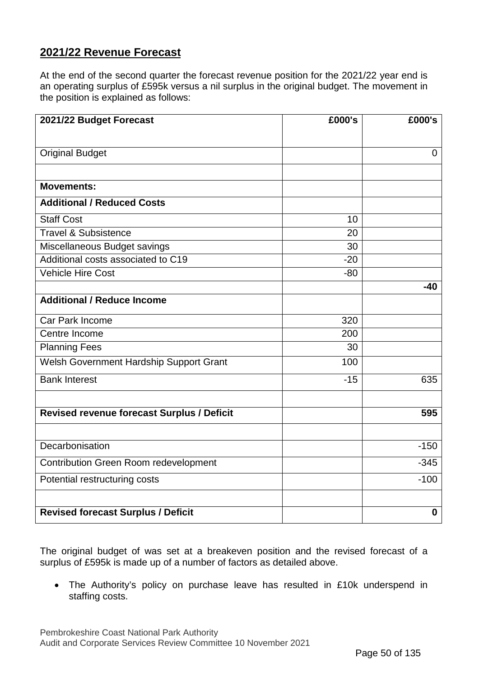## **2021/22 Revenue Forecast**

At the end of the second quarter the forecast revenue position for the 2021/22 year end is an operating surplus of £595k versus a nil surplus in the original budget. The movement in the position is explained as follows:

| 2021/22 Budget Forecast                      | £000's | £000's         |
|----------------------------------------------|--------|----------------|
|                                              |        |                |
| <b>Original Budget</b>                       |        | $\overline{0}$ |
|                                              |        |                |
| <b>Movements:</b>                            |        |                |
| <b>Additional / Reduced Costs</b>            |        |                |
| <b>Staff Cost</b>                            | 10     |                |
| <b>Travel &amp; Subsistence</b>              | 20     |                |
| Miscellaneous Budget savings                 | 30     |                |
| Additional costs associated to C19           | $-20$  |                |
| <b>Vehicle Hire Cost</b>                     | $-80$  |                |
|                                              |        | $-40$          |
| <b>Additional / Reduce Income</b>            |        |                |
| Car Park Income                              | 320    |                |
| Centre Income                                | 200    |                |
| <b>Planning Fees</b>                         | 30     |                |
| Welsh Government Hardship Support Grant      | 100    |                |
| <b>Bank Interest</b>                         | $-15$  | 635            |
| Revised revenue forecast Surplus / Deficit   |        | 595            |
|                                              |        |                |
|                                              |        |                |
| Decarbonisation                              |        | $-150$         |
| <b>Contribution Green Room redevelopment</b> |        | $-345$         |
| Potential restructuring costs                |        | $-100$         |
|                                              |        |                |
| <b>Revised forecast Surplus / Deficit</b>    |        | $\mathbf 0$    |

The original budget of was set at a breakeven position and the revised forecast of a surplus of £595k is made up of a number of factors as detailed above.

• The Authority's policy on purchase leave has resulted in £10k underspend in staffing costs.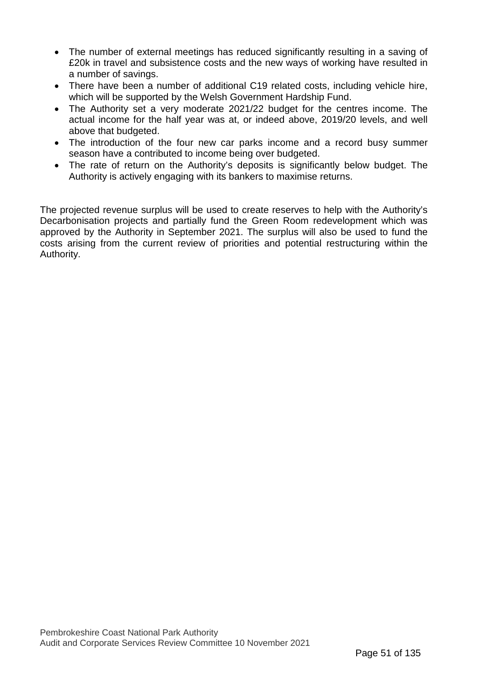- The number of external meetings has reduced significantly resulting in a saving of £20k in travel and subsistence costs and the new ways of working have resulted in a number of savings.
- There have been a number of additional C19 related costs, including vehicle hire, which will be supported by the Welsh Government Hardship Fund.
- The Authority set a very moderate 2021/22 budget for the centres income. The actual income for the half year was at, or indeed above, 2019/20 levels, and well above that budgeted.
- The introduction of the four new car parks income and a record busy summer season have a contributed to income being over budgeted.
- The rate of return on the Authority's deposits is significantly below budget. The Authority is actively engaging with its bankers to maximise returns.

The projected revenue surplus will be used to create reserves to help with the Authority's Decarbonisation projects and partially fund the Green Room redevelopment which was approved by the Authority in September 2021. The surplus will also be used to fund the costs arising from the current review of priorities and potential restructuring within the Authority.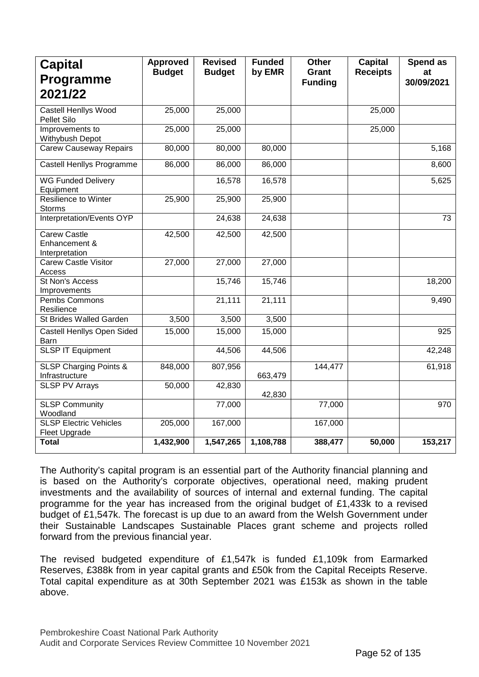| <b>Capital</b><br><b>Programme</b>                     | <b>Approved</b><br><b>Budget</b> | <b>Revised</b><br><b>Budget</b> | <b>Funded</b><br>by EMR | <b>Other</b><br><b>Grant</b> | <b>Capital</b><br><b>Receipts</b> | Spend as<br>at |
|--------------------------------------------------------|----------------------------------|---------------------------------|-------------------------|------------------------------|-----------------------------------|----------------|
| 2021/22                                                |                                  |                                 |                         | <b>Funding</b>               |                                   | 30/09/2021     |
| <b>Castell Henllys Wood</b><br>Pellet Silo             | 25,000                           | 25,000                          |                         |                              | 25,000                            |                |
| Improvements to<br>Withybush Depot                     | 25,000                           | 25,000                          |                         |                              | 25,000                            |                |
| <b>Carew Causeway Repairs</b>                          | 80,000                           | 80,000                          | 80,000                  |                              |                                   | 5,168          |
| Castell Henllys Programme                              | 86,000                           | 86,000                          | 86,000                  |                              |                                   | 8,600          |
| <b>WG Funded Delivery</b><br>Equipment                 |                                  | 16,578                          | 16,578                  |                              |                                   | 5,625          |
| Resilience to Winter<br><b>Storms</b>                  | 25,900                           | 25,900                          | 25,900                  |                              |                                   |                |
| Interpretation/Events OYP                              |                                  | 24,638                          | 24,638                  |                              |                                   | 73             |
| <b>Carew Castle</b><br>Enhancement &<br>Interpretation | 42,500                           | 42,500                          | 42,500                  |                              |                                   |                |
| <b>Carew Castle Visitor</b><br>Access                  | 27,000                           | 27,000                          | 27,000                  |                              |                                   |                |
| St Non's Access<br>Improvements                        |                                  | 15,746                          | 15,746                  |                              |                                   | 18,200         |
| Pembs Commons<br>Resilience                            |                                  | 21,111                          | 21,111                  |                              |                                   | 9,490          |
| St Brides Walled Garden                                | 3,500                            | 3,500                           | 3,500                   |                              |                                   |                |
| <b>Castell Henllys Open Sided</b><br>Barn              | 15,000                           | 15,000                          | 15,000                  |                              |                                   | 925            |
| <b>SLSP IT Equipment</b>                               |                                  | 44,506                          | 44,506                  |                              |                                   | 42,248         |
| <b>SLSP Charging Points &amp;</b><br>Infrastructure    | 848,000                          | 807,956                         | 663,479                 | 144,477                      |                                   | 61,918         |
| <b>SLSP PV Arrays</b>                                  | 50,000                           | 42,830                          | 42,830                  |                              |                                   |                |
| <b>SLSP Community</b><br>Woodland                      |                                  | 77,000                          |                         | 77,000                       |                                   | 970            |
| <b>SLSP Electric Vehicles</b><br>Fleet Upgrade         | 205,000                          | 167,000                         |                         | 167,000                      |                                   |                |
| <b>Total</b>                                           | 1,432,900                        | 1,547,265                       | 1,108,788               | 388,477                      | 50,000                            | 153,217        |

The Authority's capital program is an essential part of the Authority financial planning and is based on the Authority's corporate objectives, operational need, making prudent investments and the availability of sources of internal and external funding. The capital programme for the year has increased from the original budget of £1,433k to a revised budget of £1,547k. The forecast is up due to an award from the Welsh Government under their Sustainable Landscapes Sustainable Places grant scheme and projects rolled forward from the previous financial year.

The revised budgeted expenditure of £1,547k is funded £1,109k from Earmarked Reserves, £388k from in year capital grants and £50k from the Capital Receipts Reserve. Total capital expenditure as at 30th September 2021 was £153k as shown in the table above.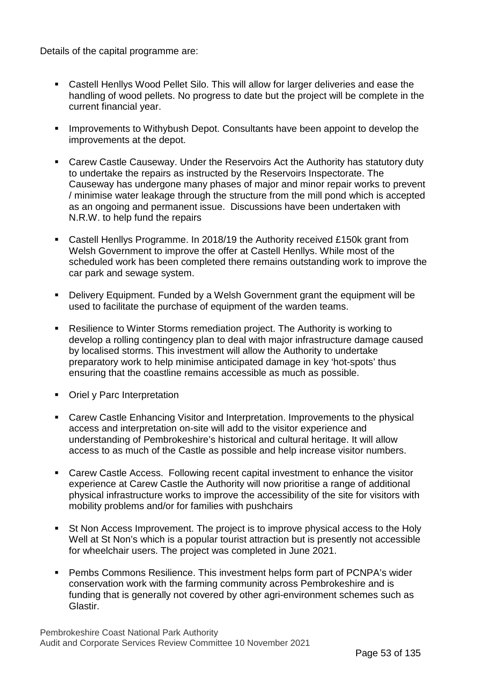Details of the capital programme are:

- Castell Henllys Wood Pellet Silo. This will allow for larger deliveries and ease the handling of wood pellets. No progress to date but the project will be complete in the current financial year.
- **IMPROVEMENTS TO Withybush Depot. Consultants have been appoint to develop the** improvements at the depot.
- Carew Castle Causeway. Under the Reservoirs Act the Authority has statutory duty to undertake the repairs as instructed by the Reservoirs Inspectorate. The Causeway has undergone many phases of major and minor repair works to prevent / minimise water leakage through the structure from the mill pond which is accepted as an ongoing and permanent issue. Discussions have been undertaken with N.R.W. to help fund the repairs
- Castell Henllys Programme. In 2018/19 the Authority received £150k grant from Welsh Government to improve the offer at Castell Henllys. While most of the scheduled work has been completed there remains outstanding work to improve the car park and sewage system.
- Delivery Equipment. Funded by a Welsh Government grant the equipment will be used to facilitate the purchase of equipment of the warden teams.
- Resilience to Winter Storms remediation project. The Authority is working to develop a rolling contingency plan to deal with major infrastructure damage caused by localised storms. This investment will allow the Authority to undertake preparatory work to help minimise anticipated damage in key 'hot-spots' thus ensuring that the coastline remains accessible as much as possible.
- Oriel y Parc Interpretation
- Carew Castle Enhancing Visitor and Interpretation. Improvements to the physical access and interpretation on-site will add to the visitor experience and understanding of Pembrokeshire's historical and cultural heritage. It will allow access to as much of the Castle as possible and help increase visitor numbers.
- Carew Castle Access. Following recent capital investment to enhance the visitor experience at Carew Castle the Authority will now prioritise a range of additional physical infrastructure works to improve the accessibility of the site for visitors with mobility problems and/or for families with pushchairs
- St Non Access Improvement. The project is to improve physical access to the Holy Well at St Non's which is a popular tourist attraction but is presently not accessible for wheelchair users. The project was completed in June 2021.
- **Pembs Commons Resilience. This investment helps form part of PCNPA's wider** conservation work with the farming community across Pembrokeshire and is funding that is generally not covered by other agri-environment schemes such as Glastir.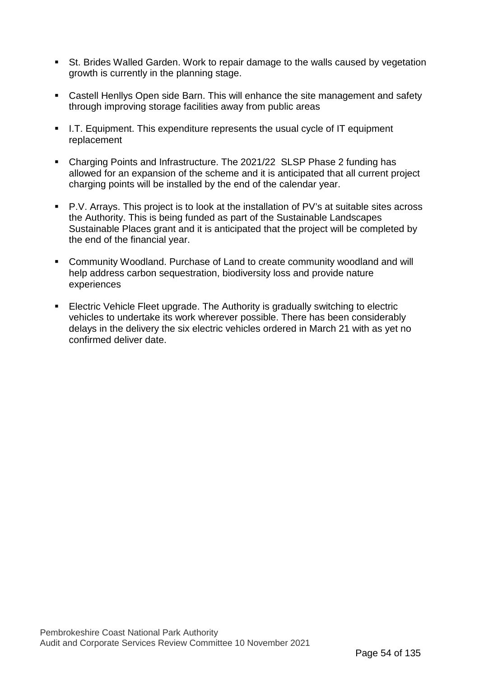- St. Brides Walled Garden. Work to repair damage to the walls caused by vegetation growth is currently in the planning stage.
- Castell Henllys Open side Barn. This will enhance the site management and safety through improving storage facilities away from public areas
- I.T. Equipment. This expenditure represents the usual cycle of IT equipment replacement
- Charging Points and Infrastructure. The 2021/22 SLSP Phase 2 funding has allowed for an expansion of the scheme and it is anticipated that all current project charging points will be installed by the end of the calendar year.
- P.V. Arrays. This project is to look at the installation of PV's at suitable sites across the Authority. This is being funded as part of the Sustainable Landscapes Sustainable Places grant and it is anticipated that the project will be completed by the end of the financial year.
- Community Woodland. Purchase of Land to create community woodland and will help address carbon sequestration, biodiversity loss and provide nature experiences
- Electric Vehicle Fleet upgrade. The Authority is gradually switching to electric vehicles to undertake its work wherever possible. There has been considerably delays in the delivery the six electric vehicles ordered in March 21 with as yet no confirmed deliver date.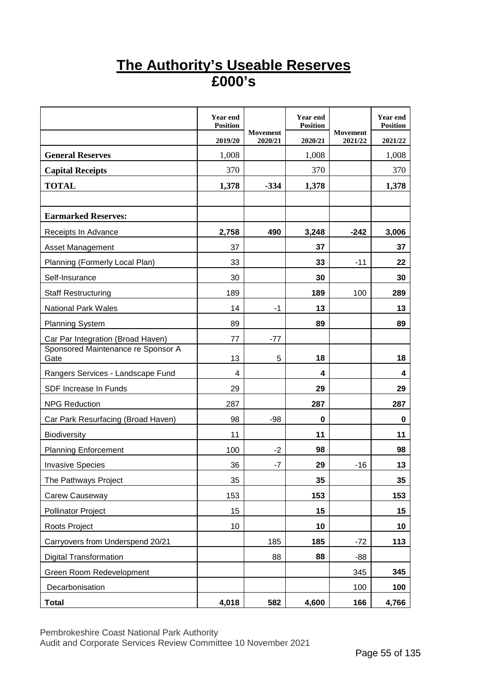# **The Authority's Useable Reserves £000's**

|                                            | <b>Year end</b><br><b>Position</b> |                            | <b>Year end</b><br><b>Position</b> |                            | <b>Year end</b><br><b>Position</b> |
|--------------------------------------------|------------------------------------|----------------------------|------------------------------------|----------------------------|------------------------------------|
|                                            | 2019/20                            | <b>Movement</b><br>2020/21 | 2020/21                            | <b>Movement</b><br>2021/22 | 2021/22                            |
| <b>General Reserves</b>                    | 1,008                              |                            | 1,008                              |                            | 1,008                              |
| <b>Capital Receipts</b>                    | 370                                |                            | 370                                |                            | 370                                |
| <b>TOTAL</b>                               | 1,378                              | $-334$                     | 1,378                              |                            | 1,378                              |
|                                            |                                    |                            |                                    |                            |                                    |
| <b>Earmarked Reserves:</b>                 |                                    |                            |                                    |                            |                                    |
| Receipts In Advance                        | 2,758                              | 490                        | 3,248                              | $-242$                     | 3,006                              |
| <b>Asset Management</b>                    | 37                                 |                            | 37                                 |                            | 37                                 |
| Planning (Formerly Local Plan)             | 33                                 |                            | 33                                 | $-11$                      | 22                                 |
| Self-Insurance                             | 30                                 |                            | 30                                 |                            | 30                                 |
| <b>Staff Restructuring</b>                 | 189                                |                            | 189                                | 100                        | 289                                |
| <b>National Park Wales</b>                 | 14                                 | $-1$                       | 13                                 |                            | 13                                 |
| <b>Planning System</b>                     | 89                                 |                            | 89                                 |                            | 89                                 |
| Car Par Integration (Broad Haven)          | 77                                 | $-77$                      |                                    |                            |                                    |
| Sponsored Maintenance re Sponsor A<br>Gate | 13                                 | 5                          | 18                                 |                            | 18                                 |
| Rangers Services - Landscape Fund          | 4                                  |                            | 4                                  |                            | 4                                  |
| SDF Increase In Funds                      | 29                                 |                            | 29                                 |                            | 29                                 |
| <b>NPG Reduction</b>                       | 287                                |                            | 287                                |                            | 287                                |
| Car Park Resurfacing (Broad Haven)         | 98                                 | $-98$                      | $\bf{0}$                           |                            | 0                                  |
| <b>Biodiversity</b>                        | 11                                 |                            | 11                                 |                            | 11                                 |
| <b>Planning Enforcement</b>                | 100                                | $-2$                       | 98                                 |                            | 98                                 |
| <b>Invasive Species</b>                    | 36                                 | -7                         | 29                                 | $-16$                      | 13                                 |
| The Pathways Project                       | 35                                 |                            | 35                                 |                            | 35                                 |
| Carew Causeway                             | 153                                |                            | 153                                |                            | 153                                |
| <b>Pollinator Project</b>                  | 15                                 |                            | 15                                 |                            | 15                                 |
| Roots Project                              | 10                                 |                            | 10                                 |                            | 10                                 |
| Carryovers from Underspend 20/21           |                                    | 185                        | 185                                | $-72$                      | 113                                |
| <b>Digital Transformation</b>              |                                    | 88                         | 88                                 | $-88$                      |                                    |
| Green Room Redevelopment                   |                                    |                            |                                    | 345                        | 345                                |
| Decarbonisation                            |                                    |                            |                                    | 100                        | 100                                |
| <b>Total</b>                               | 4,018                              | 582                        | 4,600                              | 166                        | 4,766                              |

Pembrokeshire Coast National Park Authority

Audit and Corporate Services Review Committee 10 November 2021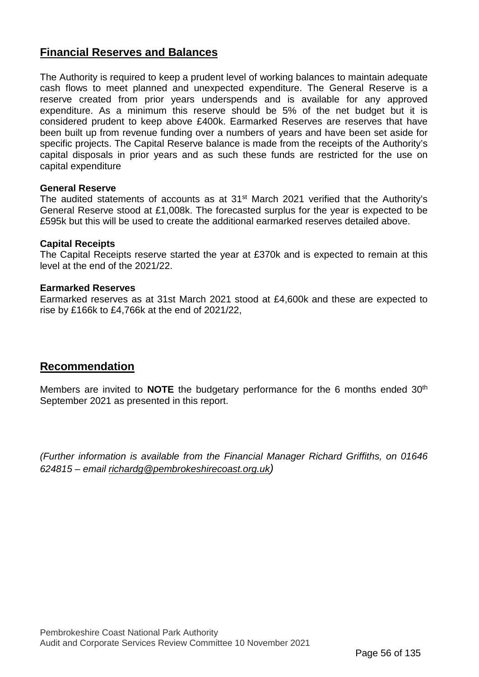## **Financial Reserves and Balances**

The Authority is required to keep a prudent level of working balances to maintain adequate cash flows to meet planned and unexpected expenditure. The General Reserve is a reserve created from prior years underspends and is available for any approved expenditure. As a minimum this reserve should be 5% of the net budget but it is considered prudent to keep above £400k. Earmarked Reserves are reserves that have been built up from revenue funding over a numbers of years and have been set aside for specific projects. The Capital Reserve balance is made from the receipts of the Authority's capital disposals in prior years and as such these funds are restricted for the use on capital expenditure

### **General Reserve**

The audited statements of accounts as at 31<sup>st</sup> March 2021 verified that the Authority's General Reserve stood at £1,008k. The forecasted surplus for the year is expected to be £595k but this will be used to create the additional earmarked reserves detailed above.

### **Capital Receipts**

The Capital Receipts reserve started the year at £370k and is expected to remain at this level at the end of the 2021/22.

### **Earmarked Reserves**

Earmarked reserves as at 31st March 2021 stood at £4,600k and these are expected to rise by £166k to £4,766k at the end of 2021/22,

## **Recommendation**

Members are invited to **NOTE** the budgetary performance for the 6 months ended 30<sup>th</sup> September 2021 as presented in this report.

*(Further information is available from the Financial Manager Richard Griffiths, on 01646 624815 – email [richardg@pembrokeshirecoast.org.uk\)](mailto:richardg@pembrokeshirecoast.org.uk)*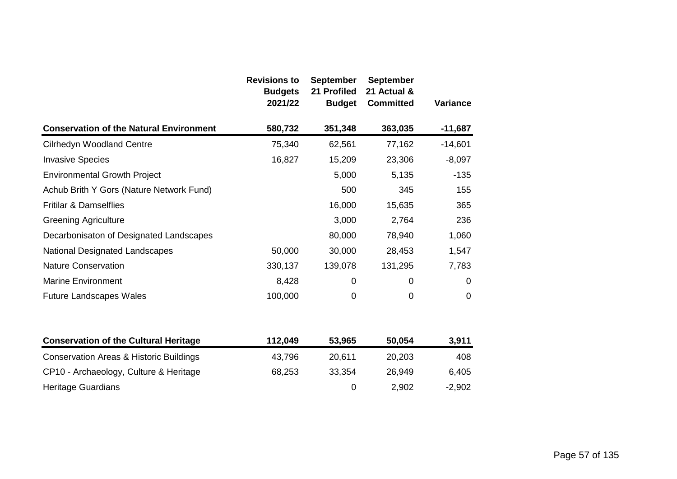|                                                | <b>Revisions to</b><br><b>Budgets</b><br>2021/22 | <b>September</b><br>21 Profiled<br><b>Budget</b> | <b>September</b><br>21 Actual &<br><b>Committed</b> | <b>Variance</b> |
|------------------------------------------------|--------------------------------------------------|--------------------------------------------------|-----------------------------------------------------|-----------------|
| <b>Conservation of the Natural Environment</b> | 580,732                                          | 351,348                                          | 363,035                                             | $-11,687$       |
| <b>Cilrhedyn Woodland Centre</b>               | 75,340                                           | 62,561                                           | 77,162                                              | $-14,601$       |
| <b>Invasive Species</b>                        | 16,827                                           | 15,209                                           | 23,306                                              | $-8,097$        |
| <b>Environmental Growth Project</b>            |                                                  | 5,000                                            | 5,135                                               | $-135$          |
| Achub Brith Y Gors (Nature Network Fund)       |                                                  | 500                                              | 345                                                 | 155             |
| <b>Fritilar &amp; Damselflies</b>              |                                                  | 16,000                                           | 15,635                                              | 365             |
| <b>Greening Agriculture</b>                    |                                                  | 3,000                                            | 2,764                                               | 236             |
| Decarbonisaton of Designated Landscapes        |                                                  | 80,000                                           | 78,940                                              | 1,060           |
| National Designated Landscapes                 | 50,000                                           | 30,000                                           | 28,453                                              | 1,547           |
| <b>Nature Conservation</b>                     | 330,137                                          | 139,078                                          | 131,295                                             | 7,783           |
| <b>Marine Environment</b>                      | 8,428                                            | 0                                                | 0                                                   | $\mathbf 0$     |
| <b>Future Landscapes Wales</b>                 | 100,000                                          | 0                                                | $\mathbf 0$                                         | 0               |

| <b>Conservation of the Cultural Heritage</b> | 112,049 | 53,965 | 50,054 | 3,911    |
|----------------------------------------------|---------|--------|--------|----------|
| Conservation Areas & Historic Buildings      | 43.796  | 20.611 | 20,203 | 408      |
| CP10 - Archaeology, Culture & Heritage       | 68,253  | 33.354 | 26,949 | 6,405    |
| <b>Heritage Guardians</b>                    |         |        | 2,902  | $-2,902$ |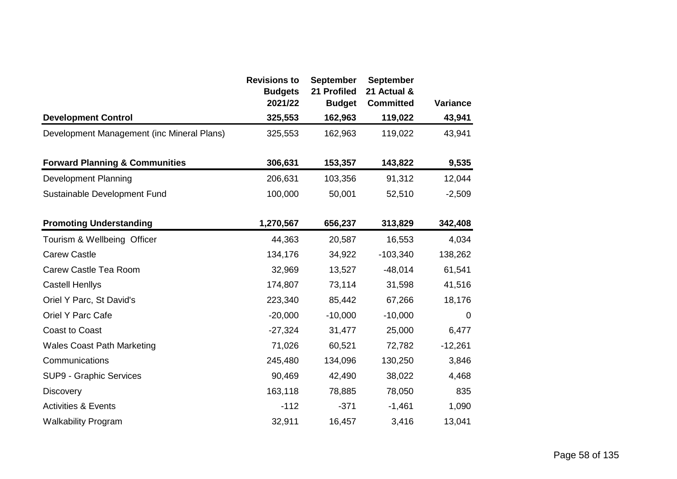|                                            | <b>Revisions to</b><br><b>Budgets</b><br>2021/22 | <b>September</b><br>21 Profiled<br><b>Budget</b> | <b>September</b><br>21 Actual &<br><b>Committed</b> | <b>Variance</b> |
|--------------------------------------------|--------------------------------------------------|--------------------------------------------------|-----------------------------------------------------|-----------------|
| <b>Development Control</b>                 | 325,553                                          | 162,963                                          | 119,022                                             | 43,941          |
| Development Management (inc Mineral Plans) | 325,553                                          | 162,963                                          | 119,022                                             | 43,941          |
| <b>Forward Planning &amp; Communities</b>  | 306,631                                          | 153,357                                          | 143,822                                             | 9,535           |
| Development Planning                       | 206,631                                          | 103,356                                          | 91,312                                              | 12,044          |
| Sustainable Development Fund               | 100,000                                          | 50,001                                           | 52,510                                              | $-2,509$        |
| <b>Promoting Understanding</b>             | 1,270,567                                        | 656,237                                          | 313,829                                             | 342,408         |
| Tourism & Wellbeing Officer                | 44,363                                           | 20,587                                           | 16,553                                              | 4,034           |
| <b>Carew Castle</b>                        | 134,176                                          | 34,922                                           | $-103,340$                                          | 138,262         |
| Carew Castle Tea Room                      | 32,969                                           | 13,527                                           | $-48,014$                                           | 61,541          |
| <b>Castell Henllys</b>                     | 174,807                                          | 73,114                                           | 31,598                                              | 41,516          |
| Oriel Y Parc, St David's                   | 223,340                                          | 85,442                                           | 67,266                                              | 18,176          |
| Oriel Y Parc Cafe                          | $-20,000$                                        | $-10,000$                                        | $-10,000$                                           | 0               |
| <b>Coast to Coast</b>                      | $-27,324$                                        | 31,477                                           | 25,000                                              | 6,477           |
| <b>Wales Coast Path Marketing</b>          | 71,026                                           | 60,521                                           | 72,782                                              | $-12,261$       |
| Communications                             | 245,480                                          | 134,096                                          | 130,250                                             | 3,846           |
| SUP9 - Graphic Services                    | 90,469                                           | 42,490                                           | 38,022                                              | 4,468           |
| <b>Discovery</b>                           | 163,118                                          | 78,885                                           | 78,050                                              | 835             |
| <b>Activities &amp; Events</b>             | $-112$                                           | $-371$                                           | $-1,461$                                            | 1,090           |
| <b>Walkability Program</b>                 | 32,911                                           | 16,457                                           | 3,416                                               | 13,041          |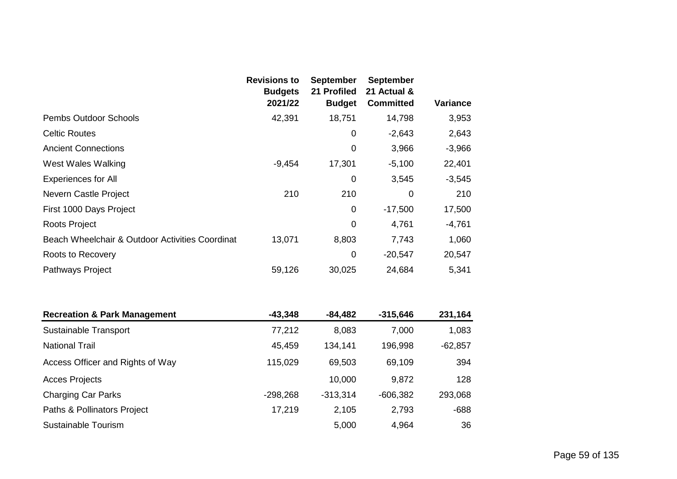|                                                 | <b>Revisions to</b><br><b>Budgets</b><br>2021/22 | <b>September</b><br>21 Profiled<br><b>Budget</b> | <b>September</b><br>21 Actual &<br><b>Committed</b> | <b>Variance</b> |
|-------------------------------------------------|--------------------------------------------------|--------------------------------------------------|-----------------------------------------------------|-----------------|
| <b>Pembs Outdoor Schools</b>                    | 42,391                                           | 18,751                                           | 14,798                                              | 3,953           |
| <b>Celtic Routes</b>                            |                                                  | 0                                                | $-2,643$                                            | 2,643           |
| <b>Ancient Connections</b>                      |                                                  | 0                                                | 3,966                                               | $-3,966$        |
| <b>West Wales Walking</b>                       | $-9,454$                                         | 17,301                                           | $-5,100$                                            | 22,401          |
| <b>Experiences for All</b>                      |                                                  | $\mathbf 0$                                      | 3,545                                               | $-3,545$        |
| Nevern Castle Project                           | 210                                              | 210                                              | $\overline{0}$                                      | 210             |
| First 1000 Days Project                         |                                                  | 0                                                | $-17,500$                                           | 17,500          |
| <b>Roots Project</b>                            |                                                  | 0                                                | 4,761                                               | $-4,761$        |
| Beach Wheelchair & Outdoor Activities Coordinat | 13,071                                           | 8,803                                            | 7,743                                               | 1,060           |
| Roots to Recovery                               |                                                  | $\mathbf 0$                                      | $-20,547$                                           | 20,547          |
| Pathways Project                                | 59,126                                           | 30,025                                           | 24,684                                              | 5,341           |
| <b>Recreation &amp; Park Management</b>         | $-43,348$                                        | $-84,482$                                        | $-315,646$                                          | 231,164         |
| Sustainable Transport                           | 77,212                                           | 8,083                                            | 7,000                                               | 1,083           |
| <b>National Trail</b>                           | 45,459                                           | 134,141                                          | 196,998                                             | $-62,857$       |
| Access Officer and Rights of Way                | 115,029                                          | 69,503                                           | 69,109                                              | 394             |
| <b>Acces Projects</b>                           |                                                  | 10,000                                           | 9,872                                               | 128             |
| <b>Charging Car Parks</b>                       | $-298,268$                                       | $-313,314$                                       | $-606,382$                                          | 293,068         |
| Paths & Pollinators Project                     | 17,219                                           | 2,105                                            | 2,793                                               | $-688$          |
| Sustainable Tourism                             |                                                  | 5,000                                            | 4,964                                               | 36              |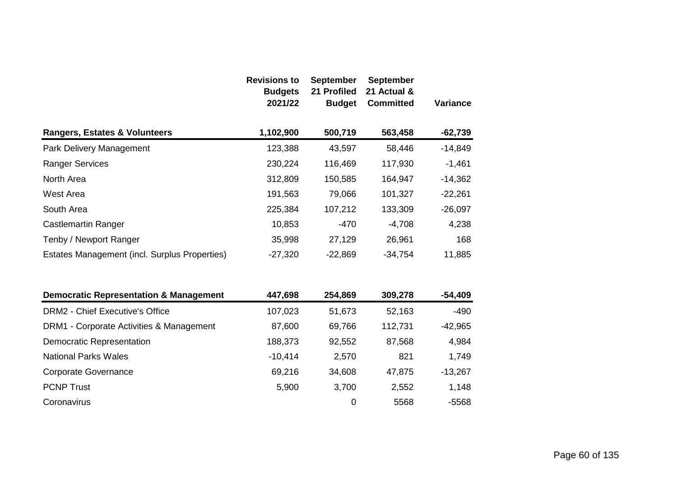|                                                   | <b>Revisions to</b><br><b>Budgets</b><br>2021/22 | <b>September</b><br>21 Profiled<br><b>Budget</b> | <b>September</b><br>21 Actual &<br><b>Committed</b> | Variance  |
|---------------------------------------------------|--------------------------------------------------|--------------------------------------------------|-----------------------------------------------------|-----------|
| <b>Rangers, Estates &amp; Volunteers</b>          | 1,102,900                                        | 500,719                                          | 563,458                                             | $-62,739$ |
| Park Delivery Management                          | 123,388                                          | 43,597                                           | 58,446                                              | $-14,849$ |
| <b>Ranger Services</b>                            | 230,224                                          | 116,469                                          | 117,930                                             | $-1,461$  |
| North Area                                        | 312,809                                          | 150,585                                          | 164,947                                             | $-14,362$ |
| <b>West Area</b>                                  | 191,563                                          | 79,066                                           | 101,327                                             | $-22,261$ |
| South Area                                        | 225,384                                          | 107,212                                          | 133,309                                             | $-26,097$ |
| <b>Castlemartin Ranger</b>                        | 10,853                                           | $-470$                                           | $-4,708$                                            | 4,238     |
| Tenby / Newport Ranger                            | 35,998                                           | 27,129                                           | 26,961                                              | 168       |
| Estates Management (incl. Surplus Properties)     | $-27,320$                                        | $-22,869$                                        | $-34,754$                                           | 11,885    |
| <b>Democratic Representation &amp; Management</b> | 447,698                                          | 254,869                                          | 309,278                                             | $-54,409$ |
| <b>DRM2 - Chief Executive's Office</b>            | 107,023                                          | 51,673                                           | 52,163                                              | $-490$    |
| DRM1 - Corporate Activities & Management          | 87,600                                           | 69,766                                           | 112,731                                             | $-42,965$ |
| <b>Democratic Representation</b>                  | 188,373                                          | 92,552                                           | 87,568                                              | 4,984     |
| <b>National Parks Wales</b>                       | $-10,414$                                        | 2,570                                            | 821                                                 | 1,749     |
| <b>Corporate Governance</b>                       | 69,216                                           | 34,608                                           | 47,875                                              | $-13,267$ |
| <b>PCNP Trust</b>                                 | 5,900                                            | 3,700                                            | 2,552                                               | 1,148     |
| Coronavirus                                       |                                                  | 0                                                | 5568                                                | $-5568$   |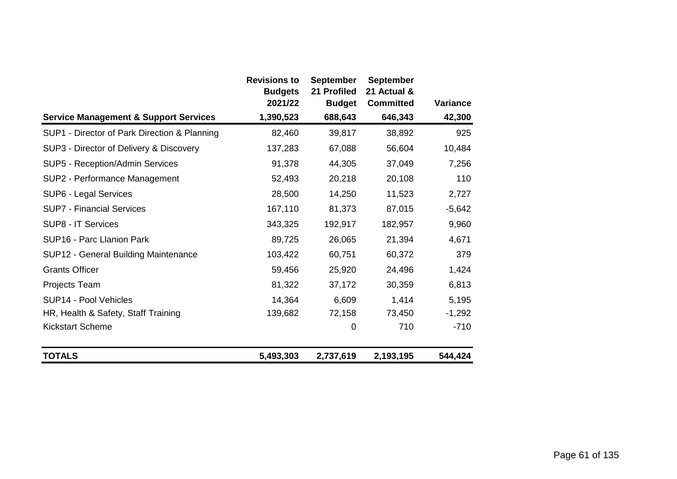|                                                  | <b>Revisions to</b>       | <b>September</b>             | <b>September</b><br>21 Actual & |                 |
|--------------------------------------------------|---------------------------|------------------------------|---------------------------------|-----------------|
|                                                  | <b>Budgets</b><br>2021/22 | 21 Profiled<br><b>Budget</b> | <b>Committed</b>                | <b>Variance</b> |
| <b>Service Management &amp; Support Services</b> | 1,390,523                 | 688,643                      | 646,343                         | 42,300          |
| SUP1 - Director of Park Direction & Planning     | 82,460                    | 39,817                       | 38,892                          | 925             |
| SUP3 - Director of Delivery & Discovery          | 137,283                   | 67,088                       | 56,604                          | 10,484          |
| SUP5 - Reception/Admin Services                  | 91,378                    | 44,305                       | 37,049                          | 7,256           |
| SUP2 - Performance Management                    | 52,493                    | 20,218                       | 20,108                          | 110             |
| SUP6 - Legal Services                            | 28,500                    | 14,250                       | 11,523                          | 2,727           |
| <b>SUP7 - Financial Services</b>                 | 167,110                   | 81,373                       | 87,015                          | $-5,642$        |
| SUP8 - IT Services                               | 343,325                   | 192,917                      | 182,957                         | 9,960           |
| SUP16 - Parc Llanion Park                        | 89,725                    | 26,065                       | 21,394                          | 4,671           |
| SUP12 - General Building Maintenance             | 103,422                   | 60,751                       | 60,372                          | 379             |
| <b>Grants Officer</b>                            | 59,456                    | 25,920                       | 24,496                          | 1,424           |
| Projects Team                                    | 81,322                    | 37,172                       | 30,359                          | 6,813           |
| SUP14 - Pool Vehicles                            | 14,364                    | 6,609                        | 1,414                           | 5,195           |
| HR, Health & Safety, Staff Training              | 139,682                   | 72,158                       | 73,450                          | $-1,292$        |
| <b>Kickstart Scheme</b>                          |                           | 0                            | 710                             | $-710$          |
| <b>TOTALS</b>                                    | 5,493,303                 | 2,737,619                    | 2,193,195                       | 544,424         |